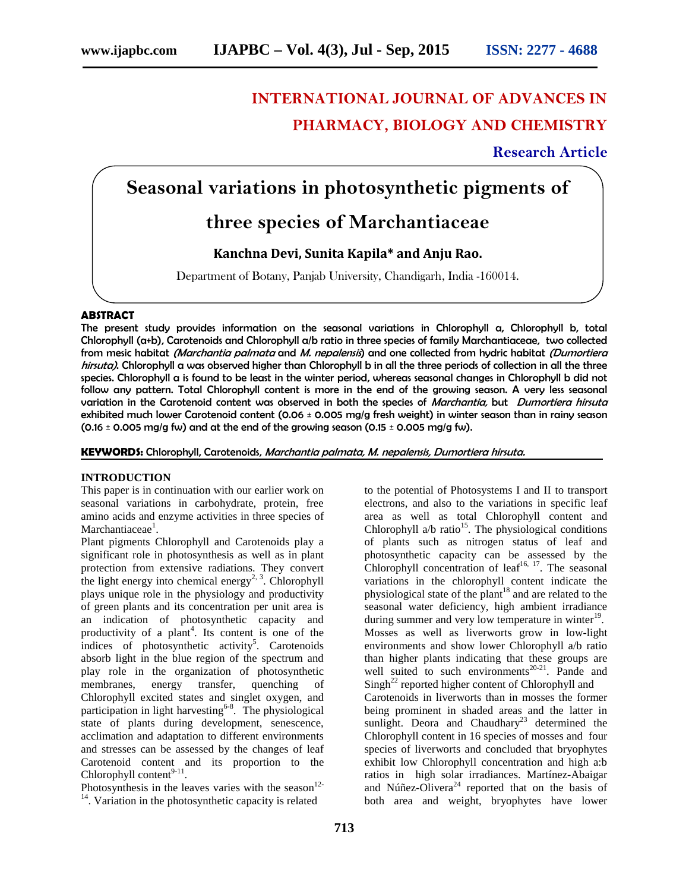# **INTERNATIONAL JOURNAL OF ADVANCES IN PHARMACY, BIOLOGY AND CHEMISTRY**

**Research Article**

## **Seasonal variations in photosynthetic pigments of**

## **three species of Marchantiaceae**

### **Kanchna Devi, Sunita Kapila\* and Anju Rao.**

Department of Botany, Panjab University, Chandigarh, India -160014.

#### **ABSTRACT**

The present study provides information on the seasonal variations in Chlorophyll a, Chlorophyll b, total Chlorophyll (a+b), Carotenoids and Chlorophyll a/b ratio in three species of family Marchantiaceae, two collected from mesic habitat *(Marchantia palmata* and *M. nepalensis*) and one collected from hydric habitat *(Dumortiera hirsuta)*. Chlorophyll a was observed higher than Chlorophyll b in all the three periods of collection in all the three species. Chlorophyll a is found to be least in the winter period, whereas seasonal changes in Chlorophyll b did not follow any pattern. Total Chlorophyll content is more in the end of the growing season. A very less seasonal variation in the Carotenoid content was observed in both the species of *Marchantia,* but *Dumortiera hirsuta* exhibited much lower Carotenoid content (0.06 ± 0.005 mg/g fresh weight) in winter season than in rainy season  $(0.16 \pm 0.005 \text{ mg/g} \text{ fw})$  and at the end of the growing season  $(0.15 \pm 0.005 \text{ mg/g} \text{ fw})$ .

**KEYWORDS:** Chlorophyll, Carotenoids, *Marchantia palmata, M. nepalensis, Dumortiera hirsuta.*

#### **INTRODUCTION**

This paper is in continuation with our earlier work on seasonal variations in carbohydrate, protein, free amino acids and enzyme activities in three species of Marchantiaceae<sup>1</sup>. .

Plant pigments Chlorophyll and Carotenoids play a significant role in photosynthesis as well as in plant protection from extensive radiations. They convert the light energy into chemical energy<sup>2, 3</sup>. Chlorophyll plays unique role in the physiology and productivity of green plants and its concentration per unit area is an indication of photosynthetic capacity and productivity of a plant<sup>4</sup>. Its content is one of the indices of photosynthetic activity<sup>5</sup>. Carotenoids absorb light in the blue region of the spectrum and play role in the organization of photosynthetic membranes, energy transfer, quenching of Chlorophyll excited states and singlet oxygen, and participation in light harvesting<sup>6-8</sup>. The physiological state of plants during development, senescence, acclimation and adaptation to different environments and stresses can be assessed by the changes of leaf Carotenoid content and its proportion to the Chlorophyll content $9-11$ . .

Photosynthesis in the leaves varies with the season<sup>12-14</sup> Variation in the photosynthetic connective related  $14$ . Variation in the photosynthetic capacity is related

to the potential of Photosystems I and II to transport electrons, and also to the variations in specific leaf area as well as total Chlorophyll content and Chlorophyll  $a/b$  ratio<sup>15</sup>. The physiological conditions of plants such as nitrogen status of leaf and photosynthetic capacity can be assessed by the Chlorophyll concentration of leaf $16, 17$ . The seasonal variations in the chlorophyll content indicate the physiological state of the plant<sup>18</sup> and are related to the seasonal water deficiency, high ambient irradiance during summer and very low temperature in winter<sup>19</sup>. Mosses as well as liverworts grow in low-light environments and show lower Chlorophyll a/b ratio than higher plants indicating that these groups are well suited to such environments<sup>20-21</sup>. Pande and  $Singh<sup>22</sup>$  reported higher content of Chlorophyll and Carotenoids in liverworts than in mosses the former being prominent in shaded areas and the latter in sunlight. Deora and Chaudhary<sup>23</sup> determined the Chlorophyll content in 16 species of mosses and four species of liverworts and concluded that bryophytes exhibit low Chlorophyll concentration and high a:b ratios in high solar irradiances. Martínez-Abaigar and Núñez-Olivera $^{24}$  reported that on the basis of both area and weight, bryophytes have lower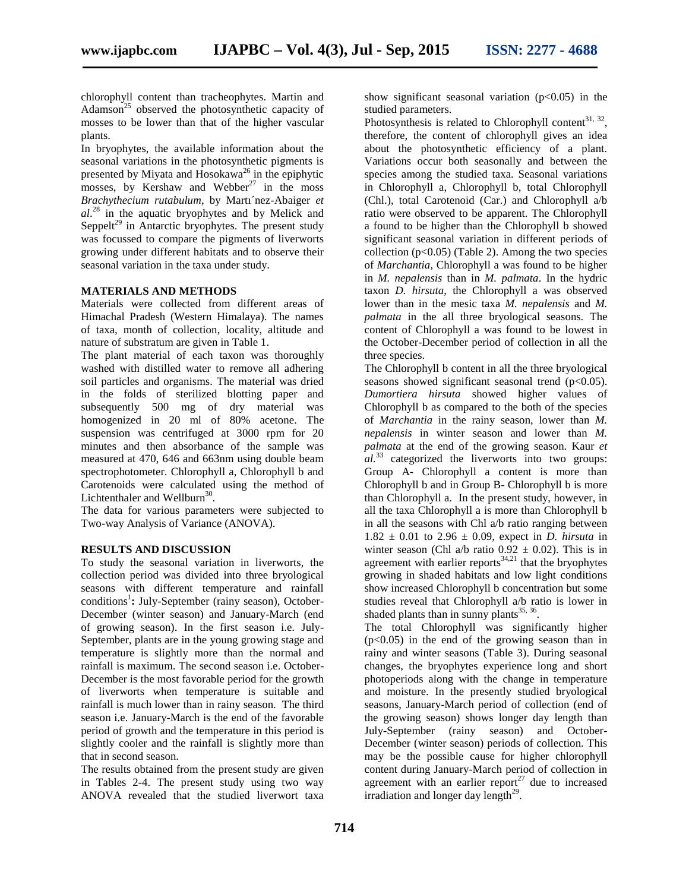chlorophyll content than tracheophytes. Martin and Adamson<sup>25</sup> observed the photosynthetic capacity of mosses to be lower than that of the higher vascular plants.

In bryophytes, the available information about the seasonal variations in the photosynthetic pigments is presented by Miyata and Hosokawa<sup>26</sup> in the epiphytic mosses, by Kershaw and Webber<sup>27</sup> in the moss *Brachythecium rutabulum*, by Martı´nez-Abaiger *et al*.<sup>28</sup> in the aquatic bryophytes and by Melick and Seppelt<sup>29</sup> in Antarctic bryophytes. The present study was focussed to compare the pigments of liverworts growing under different habitats and to observe their seasonal variation in the taxa under study.

#### **MATERIALS AND METHODS**

Materials were collected from different areas of Himachal Pradesh (Western Himalaya). The names of taxa, month of collection, locality, altitude and nature of substratum are given in Table 1.

The plant material of each taxon was thoroughly washed with distilled water to remove all adhering soil particles and organisms. The material was dried in the folds of sterilized blotting paper and subsequently 500 mg of dry material was homogenized in 20 ml of 80% acetone. The suspension was centrifuged at 3000 rpm for 20 minutes and then absorbance of the sample was measured at 470, 646 and 663nm using double beam spectrophotometer. Chlorophyll a, Chlorophyll b and Carotenoids were calculated using the method of Lichtenthaler and Wellburn<sup>30</sup>.

The data for various parameters were subjected to Two-way Analysis of Variance (ANOVA).

#### **RESULTS AND DISCUSSION**

To study the seasonal variation in liverworts, the collection period was divided into three bryological seasons with different temperature and rainfall conditions<sup>1</sup>: July-September (rainy season), October-December (winter season) and January-March (end of growing season). In the first season i.e. July- September, plants are in the young growing stage and temperature is slightly more than the normal and rainfall is maximum. The second season i.e. October- December is the most favorable period for the growth of liverworts when temperature is suitable and rainfall is much lower than in rainy season. The third season i.e. January-March is the end of the favorable period of growth and the temperature in this period is slightly cooler and the rainfall is slightly more than that in second season.

The results obtained from the present study are given in Tables 2-4. The present study using two way ANOVA revealed that the studied liverwort taxa show significant seasonal variation  $(p<0.05)$  in the studied parameters.

Photosynthesis is related to Chlorophyll content<sup>31, 32</sup>, therefore, the content of chlorophyll gives an idea about the photosynthetic efficiency of a plant. Variations occur both seasonally and between the species among the studied taxa. Seasonal variations in Chlorophyll a, Chlorophyll b, total Chlorophyll (Chl.), total Carotenoid (Car.) and Chlorophyll a/b ratio were observed to be apparent. The Chlorophyll a found to be higher than the Chlorophyll b showed significant seasonal variation in different periods of collection  $(p<0.05)$  (Table 2). Among the two species of *Marchantia*, Chlorophyll a was found to be higher in *M. nepalensis* than in *M. palmata*. In the hydric taxon *D. hirsuta*, the Chlorophyll a was observed lower than in the mesic taxa *M. nepalensis* and *M. palmata* in the all three bryological seasons. The content of Chlorophyll a was found to be lowest in the October-December period of collection in all the three species.

The Chlorophyll b content in all the three bryological seasons showed significant seasonal trend  $(p<0.05)$ . *Dumortiera hirsuta* showed higher values of Chlorophyll b as compared to the both of the species of *Marchantia* in the rainy season, lower than *M. nepalensis* in winter season and lower than *M. palmata* at the end of the growing season. Kaur *et al.*<sup>33</sup> categorized the liverworts into two groups: Group A- Chlorophyll a content is more than Chlorophyll b and in Group B- Chlorophyll b is more than Chlorophyll a. In the present study, however, in all the taxa Chlorophyll a is more than Chlorophyll b in all the seasons with Chl a/b ratio ranging between  $1.82 \pm 0.01$  to  $2.96 \pm 0.09$ , expect in *D. hirsuta* in winter season (Chl a/b ratio  $0.92 \pm 0.02$ ). This is in agreement with earlier reports<sup>34,21</sup> that the bryophytes growing in shaded habitats and low light conditions show increased Chlorophyll b concentration but some studies reveal that Chlorophyll a/b ratio is lower in shaded plants than in sunny plants  $35, 36$ .

The total Chlorophyll was significantly higher  $(p<0.05)$  in the end of the growing season than in rainy and winter seasons (Table 3). During seasonal changes, the bryophytes experience long and short photoperiods along with the change in temperature and moisture. In the presently studied bryological seasons, January-March period of collection (end of the growing season) shows longer day length than July-September (rainy season) and October- December (winter season) periods of collection. This may be the possible cause for higher chlorophyll content during January-March period of collection in agreement with an earlier report<sup>27</sup> due to increased irradiation and longer day length<sup>29</sup>.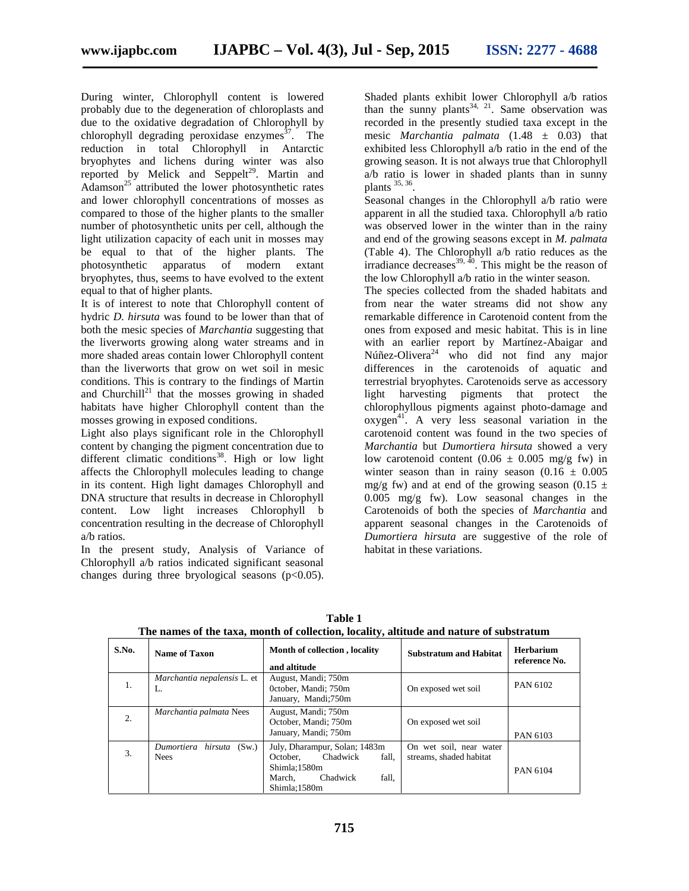During winter, Chlorophyll content is lowered probably due to the degeneration of chloroplasts and due to the oxidative degradation of Chlorophyll by chlorophyll degrading peroxidase enzymes $37$ . The reduction in total Chlorophyll in Antarctic bryophytes and lichens during winter was also reported by Melick and Seppelt<sup>29</sup>. Martin and  $\widehat{\text{Adamson}}^{25}$  attributed the lower photosynthetic rates and lower chlorophyll concentrations of mosses as compared to those of the higher plants to the smaller number of photosynthetic units per cell, although the light utilization capacity of each unit in mosses may be equal to that of the higher plants. The photosynthetic apparatus of modern extant bryophytes, thus, seems to have evolved to the extent equal to that of higher plants.

It is of interest to note that Chlorophyll content of hydric *D. hirsuta* was found to be lower than that of both the mesic species of *Marchantia* suggesting that the liverworts growing along water streams and in more shaded areas contain lower Chlorophyll content than the liverworts that grow on wet soil in mesic conditions. This is contrary to the findings of Martin and Churchill<sup>21</sup> that the mosses growing in shaded habitats have higher Chlorophyll content than the mosses growing in exposed conditions.

Light also plays significant role in the Chlorophyll content by changing the pigment concentration due to different climatic conditions<sup>38</sup>. High or low light affects the Chlorophyll molecules leading to change in its content. High light damages Chlorophyll and DNA structure that results in decrease in Chlorophyll content. Low light increases Chlorophyll b concentration resulting in the decrease of Chlorophyll a/b ratios.

In the present study, Analysis of Variance of Chlorophyll a/b ratios indicated significant seasonal changes during three bryological seasons  $(p<0.05)$ .

Shaded plants exhibit lower Chlorophyll a/b ratios than the sunny plants  $34$ ,  $21$ . Same observation was recorded in the presently studied taxa except in the mesic *Marchantia palmata* (1.48 ± 0.03) that exhibited less Chlorophyll a/b ratio in the end of the growing season. It is not always true that Chlorophyll a/b ratio is lower in shaded plants than in sunny plants  $35, 36$ . .

Seasonal changes in the Chlorophyll a/b ratio were apparent in all the studied taxa. Chlorophyll a/b ratio was observed lower in the winter than in the rainy and end of the growing seasons except in *M. palmata* (Table 4). The Chlorophyll a/b ratio reduces as the irradiance decreases<sup>39,  $\overline{40}$ </sup>. This might be the reason of the low Chlorophyll a/b ratio in the winter season.

The species collected from the shaded habitats and from near the water streams did not show any remarkable difference in Carotenoid content from the ones from exposed and mesic habitat. This is in line with an earlier report by Martínez-Abaigar and Núñez-Olivera<sup>24</sup> who did not find any major differences in the carotenoids of aquatic and terrestrial bryophytes. Carotenoids serve as accessory light harvesting pigments that protect the chlorophyllous pigments against photo-damage and  $oxygen<sup>41</sup>$ . A very less seasonal variation in the carotenoid content was found in the two species of *Marchantia* but *Dumortiera hirsuta* showed a very low carotenoid content  $(0.06 \pm 0.005 \text{ mg/g} \text{ fw})$  in winter season than in rainy season  $(0.16 \pm 0.005)$ mg/g fw) and at end of the growing season (0.15  $\pm$ 0.005 mg/g fw). Low seasonal changes in the Carotenoids of both the species of *Marchantia* and apparent seasonal changes in the Carotenoids of *Dumortiera hirsuta* are suggestive of the role of habitat in these variations.

| S.No. | Name of Taxon                             | Month of collection, locality<br>and altitude                                                                                 | <b>Substratum and Habitat</b>                      | <b>Herbarium</b><br>reference No. |
|-------|-------------------------------------------|-------------------------------------------------------------------------------------------------------------------------------|----------------------------------------------------|-----------------------------------|
| 1.    | <i>Marchantia nepalensis</i> L. et<br>L.  | August, Mandi; 750m<br>October, Mandi; 750m<br>January, Mandi;750m                                                            | On exposed wet soil                                | PAN 6102                          |
| 2.    | Marchantia palmata Nees                   | August, Mandi; 750m<br>October, Mandi; 750m<br>January, Mandi; 750m                                                           | On exposed wet soil                                | PAN 6103                          |
| 3.    | Dumortiera hirsuta<br>(Sw)<br><b>Nees</b> | July, Dharampur, Solan; 1483m<br>Chadwick<br>fall.<br>October.<br>Shimla;1580m<br>fall.<br>Chadwick<br>March.<br>Shimla:1580m | On wet soil, near water<br>streams, shaded habitat | PAN 6104                          |

**Table 1 The names of the taxa, month of collection, locality, altitude and nature of substratum**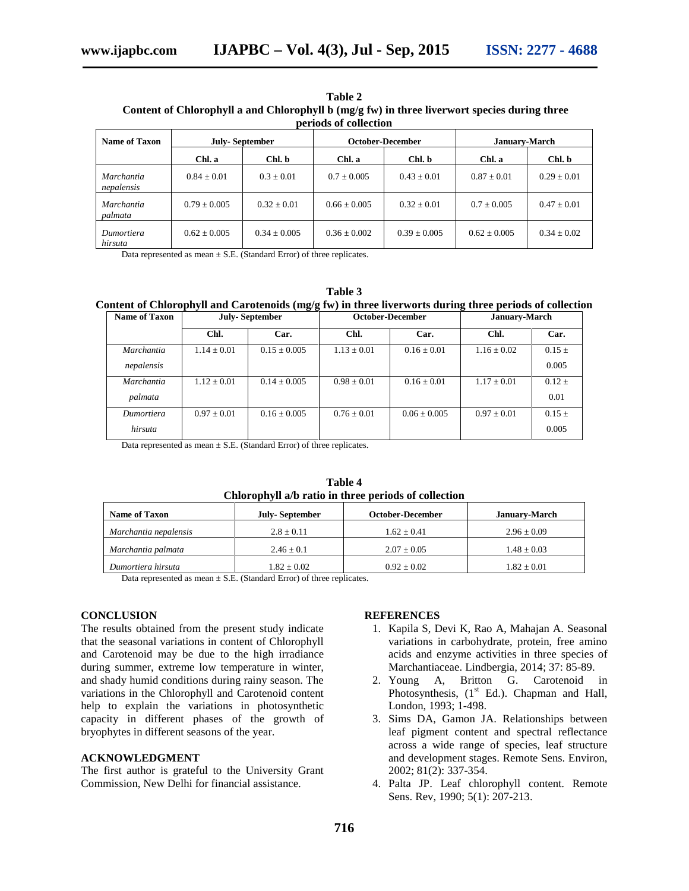| Table 2                                                                                      |  |  |  |  |
|----------------------------------------------------------------------------------------------|--|--|--|--|
| Content of Chlorophyll a and Chlorophyll b (mg/g fw) in three liverwort species during three |  |  |  |  |
| periods of collection                                                                        |  |  |  |  |

| Name of Taxon                   | <b>July-September</b> |                | October-December |                | <b>January-March</b> |               |
|---------------------------------|-----------------------|----------------|------------------|----------------|----------------------|---------------|
|                                 | Chl. a                | Chl. b         | Chl. a           | Chl. b         | Chl. a               | Chl. b        |
| <i>Marchantia</i><br>nepalensis | $0.84 + 0.01$         | $0.3 + 0.01$   | $0.7 + 0.005$    | $0.43 + 0.01$  | $0.87 + 0.01$        | $0.29 + 0.01$ |
| Marchantia<br>palmata           | $0.79 + 0.005$        | $0.32 + 0.01$  | $0.66 \pm 0.005$ | $0.32 + 0.01$  | $0.7 + 0.005$        | $0.47 + 0.01$ |
| Dumortiera<br>hirsuta           | $0.62 + 0.005$        | $0.34 + 0.005$ | $0.36 \pm 0.002$ | $0.39 + 0.005$ | $0.62 + 0.005$       | $0.34 + 0.02$ |

Data represented as mean  $\pm$  S.E. (Standard Error) of three replicates.

| Table 3                                                                                                 |                                    |  |  |  |  |  |
|---------------------------------------------------------------------------------------------------------|------------------------------------|--|--|--|--|--|
| Content of Chlorophyll and Carotenoids (mg/g fw) in three liverworts during three periods of collection |                                    |  |  |  |  |  |
| $\blacksquare$                                                                                          | $\sim$ $\sim$ $\sim$ $\sim$ $\sim$ |  |  |  |  |  |

| <b>Name of Taxon</b> | <b>July-September</b> |                  | October-December |                  | <b>January-March</b> |            |
|----------------------|-----------------------|------------------|------------------|------------------|----------------------|------------|
|                      | Chl.                  | Car.             | Chl.             | Car.             | Chl.                 | Car.       |
| Marchantia           | $1.14 \pm 0.01$       | $0.15 \pm 0.005$ | $1.13 \pm 0.01$  | $0.16 \pm 0.01$  | $1.16 \pm 0.02$      | $0.15 \pm$ |
| nepalensis           |                       |                  |                  |                  |                      | 0.005      |
| Marchantia           | $1.12 \pm 0.01$       | $0.14 \pm 0.005$ | $0.98 \pm 0.01$  | $0.16 \pm 0.01$  | $1.17 \pm 0.01$      | $0.12 \pm$ |
| palmata              |                       |                  |                  |                  |                      | 0.01       |
| Dumortiera           | $0.97 \pm 0.01$       | $0.16 \pm 0.005$ | $0.76 \pm 0.01$  | $0.06 \pm 0.005$ | $0.97 \pm 0.01$      | $0.15 \pm$ |
| hirsuta              |                       |                  |                  |                  |                      | 0.005      |
|                      |                       |                  |                  |                  |                      |            |

Data represented as mean  $\pm$  S.E. (Standard Error) of three replicates.

|              | Table 4                                              |  |
|--------------|------------------------------------------------------|--|
|              | Chlorophyll a/b ratio in three periods of collection |  |
| <b>TICIT</b> |                                                      |  |

| <b>Name of Taxon</b>  | July-September | October-December | <b>January-March</b> |
|-----------------------|----------------|------------------|----------------------|
| Marchantia nepalensis | $2.8 + 0.11$   | $1.62 + 0.41$    | $2.96 \pm 0.09$      |
| Marchantia palmata    | $2.46 + 0.1$   | $2.07 \pm 0.05$  | $1.48 \pm 0.03$      |
| Dumortiera hirsuta    | $1.82 + 0.02$  | $0.92 + 0.02$    | $1.82 \pm 0.01$      |

Data represented as mean  $\pm$  S.E. (Standard Error) of three replicates.

#### **CONCLUSION**

The results obtained from the present study indicate that the seasonal variations in content of Chlorophyll and Carotenoid may be due to the high irradiance during summer, extreme low temperature in winter, and shady humid conditions during rainy season. The variations in the Chlorophyll and Carotenoid content help to explain the variations in photosynthetic capacity in different phases of the growth of bryophytes in different seasons of the year.

#### **ACKNOWLEDGMENT**

The first author is grateful to the University Grant Commission, New Delhi for financial assistance.

#### **REFERENCES**

- 1. Kapila S, Devi K, Rao A, Mahajan A. Seasonal variations in carbohydrate, protein, free amino acids and enzyme activities in three species of Marchantiaceae. Lindbergia, 2014; 37: 85-89.
- 2. Young A, Britton G. Carotenoid in Photosynthesis, (1<sup>st</sup> Ed.). Chapman and Hall, London, 1993; 1-498.
- 3. Sims DA, Gamon JA. Relationships between leaf pigment content and spectral reflectance across a wide range of species, leaf structure and development stages. Remote Sens. Environ, 2002; 81(2): 337-354.
- 4. Palta JP. Leaf chlorophyll content. Remote Sens. Rev, 1990; 5(1): 207-213.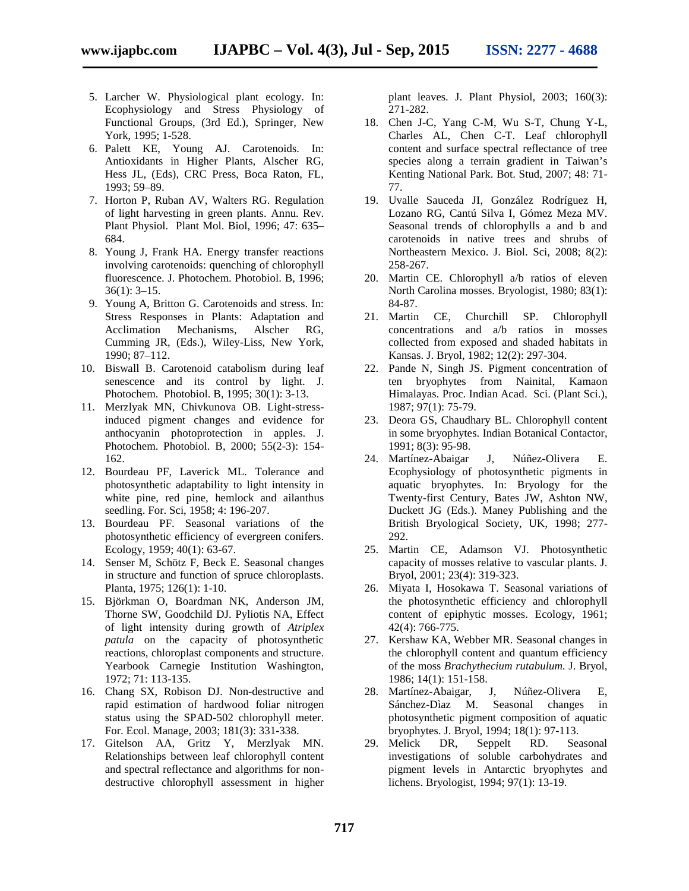- 5. Larcher W. Physiological plant ecology. In: Ecophysiology and Stress Physiology of Functional Groups, (3rd Ed.), Springer, New York, 1995; 1-528.
- 6. Palett KE, Young AJ. Carotenoids. In: Antioxidants in Higher Plants, Alscher RG, Hess JL, (Eds), CRC Press, Boca Raton, FL, 1993; 59–89.
- 7. Horton P, Ruban AV, Walters RG. Regulation of light harvesting in green plants. Annu. Rev. Plant Physiol. Plant Mol. Biol, 1996; 47: 635– 684.
- 8. Young J, Frank HA. Energy transfer reactions involving carotenoids: quenching of chlorophyll fluorescence. J. Photochem. Photobiol. B, 1996; 36(1): 3–15.
- 9. Young A, Britton G. Carotenoids and stress. In: Stress Responses in Plants: Adaptation and Acclimation Mechanisms, Alscher RG, Cumming JR, (Eds.), Wiley-Liss, New York, 1990; 87–112.
- 10. Biswall B. Carotenoid catabolism during leaf senescence and its control by light. J. Photochem. Photobiol. B, 1995; 30(1): 3-13.
- 11. Merzlyak MN, Chivkunova OB. Light-stressinduced pigment changes and evidence for anthocyanin photoprotection in apples. J. Photochem. Photobiol. B, 2000; 55(2-3): 154- 162.
- 12. Bourdeau PF, Laverick ML. Tolerance and photosynthetic adaptability to light intensity in white pine, red pine, hemlock and ailanthus seedling. For. Sci, 1958; 4: 196-207.
- 13. Bourdeau PF. Seasonal variations of the photosynthetic efficiency of evergreen conifers. Ecology, 1959; 40(1): 63-67.
- 14. Senser M, Schötz F, Beck E. Seasonal changes in structure and function of spruce chloroplasts. Planta, 1975; 126(1): 1-10.
- 15. Björkman O, Boardman NK, Anderson JM, Thorne SW, Goodchild DJ. Pyliotis NA, Effect of light intensity during growth of *Atriplex patula* on the capacity of photosynthetic reactions, chloroplast components and structure. Yearbook Carnegie Institution Washington, 1972; 71: 113-135.
- 16. Chang SX, Robison DJ. Non-destructive and rapid estimation of hardwood foliar nitrogen status using the SPAD-502 chlorophyll meter. For. Ecol. Manage, 2003; 181(3): 331-338.
- 17. Gitelson AA, Gritz Y, Merzlyak MN. Relationships between leaf chlorophyll content and spectral reflectance and algorithms for non destructive chlorophyll assessment in higher

plant leaves. J. Plant Physiol, 2003; 160(3): 271-282.

- 18. Chen J-C, Yang C-M, Wu S-T, Chung Y-L, Charles AL, Chen C-T. Leaf chlorophyll content and surface spectral reflectance of tree species along a terrain gradient in Taiwan's Kenting National Park. Bot. Stud, 2007; 48: 71- 77.
- 19. Uvalle Sauceda JI, González Rodríguez H, Lozano RG, Cantú Silva I, Gómez Meza MV. Seasonal trends of chlorophylls a and b and carotenoids in native trees and shrubs of Northeastern Mexico. J. Biol. Sci, 2008; 8(2): 258-267.
- 20. Martin CE. Chlorophyll a/b ratios of eleven North Carolina mosses. Bryologist, 1980; 83(1): 84-87.
- 21. Martin CE, Churchill SP. Chlorophyll concentrations and a/b ratios in mosses collected from exposed and shaded habitats in Kansas. J. Bryol, 1982; 12(2): 297-304.
- 22. Pande N, Singh JS. Pigment concentration of ten bryophytes from Nainital, Kamaon Himalayas. Proc. Indian Acad. Sci. (Plant Sci.), 1987; 97(1): 75-79.
- 23. Deora GS, Chaudhary BL. Chlorophyll content in some bryophytes. Indian Botanical Contactor, 1991; 8(3): 95-98.
- 24. Martínez-Abaigar J, Núñez-Olivera E. Ecophysiology of photosynthetic pigments in aquatic bryophytes. In: Bryology for the Twenty-first Century, Bates JW, Ashton NW, Duckett JG (Eds.). Maney Publishing and the British Bryological Society, UK, 1998; 277- 292.
- 25. Martin CE, Adamson VJ. Photosynthetic capacity of mosses relative to vascular plants. J. Bryol, 2001; 23(4): 319-323.
- 26. Miyata I, Hosokawa T. Seasonal variations of the photosynthetic efficiency and chlorophyll content of epiphytic mosses. Ecology, 1961; 42(4): 766-775.
- 27. Kershaw KA, Webber MR. Seasonal changes in the chlorophyll content and quantum efficiency of the moss *Brachythecium rutabulum.* J. Bryol, 1986; 14(1): 151-158.
- 28. Martínez-Abaigar, J, Núñez-Olivera E, Sánchez-Dìaz M. Seasonal changes in photosynthetic pigment composition of aquatic bryophytes. J. Bryol, 1994; 18(1): 97-113.
- 29. Melick DR, Seppelt RD. Seasonal investigations of soluble carbohydrates and pigment levels in Antarctic bryophytes and lichens. Bryologist, 1994; 97(1): 13-19.